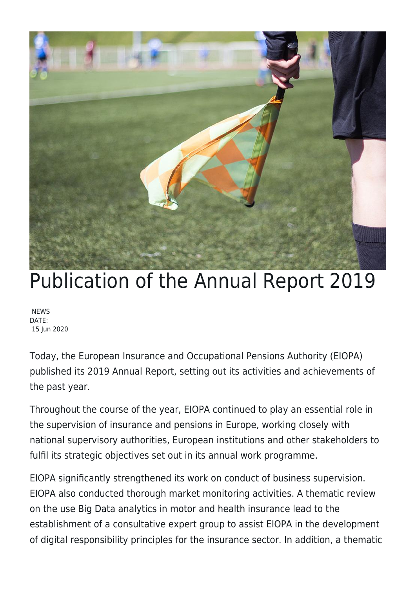

## Publication of the Annual Report 2019

**NEWS** DATE: 15 Jun 2020

Today, the European Insurance and Occupational Pensions Authority (EIOPA) published its 2019 Annual Report, setting out its activities and achievements of the past year.

Throughout the course of the year, EIOPA continued to play an essential role in the supervision of insurance and pensions in Europe, working closely with national supervisory authorities, European institutions and other stakeholders to fulfil its strategic objectives set out in its annual work programme.

EIOPA significantly strengthened its work on conduct of business supervision. EIOPA also conducted thorough market monitoring activities. A thematic review on the use Big Data analytics in motor and health insurance lead to the establishment of a consultative expert group to assist EIOPA in the development of digital responsibility principles for the insurance sector. In addition, a thematic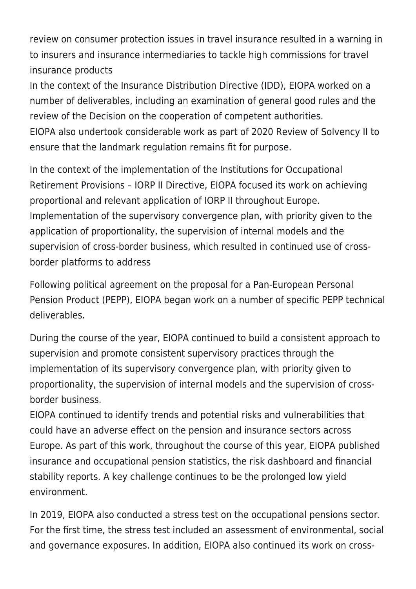review on consumer protection issues in travel insurance resulted in a warning in to insurers and insurance intermediaries to tackle high commissions for travel insurance products

In the context of the Insurance Distribution Directive (IDD), EIOPA worked on a number of deliverables, including an examination of general good rules and the review of the Decision on the cooperation of competent authorities. EIOPA also undertook considerable work as part of 2020 Review of Solvency II to ensure that the landmark regulation remains fit for purpose.

In the context of the implementation of the Institutions for Occupational Retirement Provisions – IORP II Directive, EIOPA focused its work on achieving proportional and relevant application of IORP II throughout Europe. Implementation of the supervisory convergence plan, with priority given to the application of proportionality, the supervision of internal models and the supervision of cross-border business, which resulted in continued use of crossborder platforms to address

Following political agreement on the proposal for a Pan-European Personal Pension Product (PEPP), EIOPA began work on a number of specific PEPP technical deliverables.

During the course of the year, EIOPA continued to build a consistent approach to supervision and promote consistent supervisory practices through the implementation of its supervisory convergence plan, with priority given to proportionality, the supervision of internal models and the supervision of crossborder business.

EIOPA continued to identify trends and potential risks and vulnerabilities that could have an adverse effect on the pension and insurance sectors across Europe. As part of this work, throughout the course of this year, EIOPA published insurance and occupational pension statistics, the risk dashboard and financial stability reports. A key challenge continues to be the prolonged low yield environment.

In 2019, EIOPA also conducted a stress test on the occupational pensions sector. For the first time, the stress test included an assessment of environmental, social and governance exposures. In addition, EIOPA also continued its work on cross